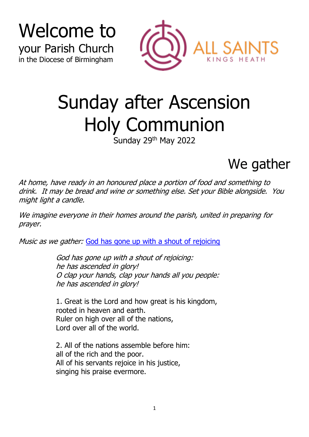



# Sunday after Ascension Holy Communion

Sunday 29<sup>th</sup> May 2022

### We gather

At home, have ready in an honoured place a portion of food and something to drink. It may be bread and wine or something else. Set your Bible alongside. You might light a candle.

We imagine everyone in their homes around the parish, united in preparing for prayer.

Music as we gather: [God has gone up with a shout of rejoicing](https://soundcloud.com/all-saints-kings-heath/god-has-gone-up-with-a-shout?)

God has gone up with a shout of rejoicing: he has ascended in glory! O clap your hands, clap your hands all you people: he has ascended in glory!

1. Great is the Lord and how great is his kingdom, rooted in heaven and earth. Ruler on high over all of the nations, Lord over all of the world.

2. All of the nations assemble before him: all of the rich and the poor. All of his servants rejoice in his justice, singing his praise evermore.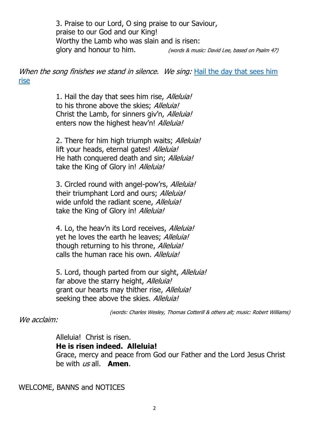3. Praise to our Lord, O sing praise to our Saviour, praise to our God and our King! Worthy the Lamb who was slain and is risen: glory and honour to him. (words & music: David Lee, based on Psalm 47)

When the song finishes we stand in silence. We sing: Hail the day that sees him [rise](https://soundcloud.com/all-saints-kings-heath/hail-the-day-that-sees-him?)

> 1. Hail the day that sees him rise, Alleluia! to his throne above the skies: Alleluia! Christ the Lamb, for sinners giv'n, *Alleluia!* enters now the highest heav'n! Alleluia!

2. There for him high triumph waits; Alleluia! lift your heads, eternal gates! Alleluia! He hath conquered death and sin; Alleluia! take the King of Glory in! Alleluia!

3. Circled round with angel-pow'rs, Alleluia! their triumphant Lord and ours; Alleluia! wide unfold the radiant scene, Alleluia! take the King of Glory in! Alleluia!

4. Lo, the heav'n its Lord receives, Alleluia! vet he loves the earth he leaves: Alleluia! though returning to his throne, *Alleluia!* calls the human race his own. Alleluia!

5. Lord, though parted from our sight, Alleluia! far above the starry height, Alleluia! grant our hearts may thither rise, Alleluia! seeking thee above the skies. Alleluia!

(words: Charles Wesley, Thomas Cotterill & others alt; music: Robert Williams)

We acclaim:

Alleluia! Christ is risen.

**He is risen indeed. Alleluia!**

Grace, mercy and peace from God our Father and the Lord Jesus Christ be with us all. **Amen**.

WELCOME, BANNS and NOTICES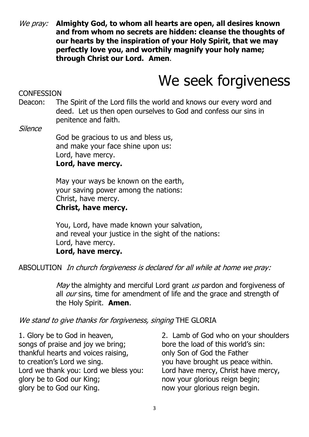We pray: **Almighty God, to whom all hearts are open, all desires known and from whom no secrets are hidden: cleanse the thoughts of our hearts by the inspiration of your Holy Spirit, that we may perfectly love you, and worthily magnify your holy name; through Christ our Lord. Amen**.

# We seek forgiveness

**CONFESSION** 

Deacon: The Spirit of the Lord fills the world and knows our every word and deed. Let us then open ourselves to God and confess our sins in penitence and faith.

**Silence** 

God be gracious to us and bless us, and make your face shine upon us: Lord, have mercy. **Lord, have mercy.**

May your ways be known on the earth, your saving power among the nations: Christ, have mercy.

**Christ, have mercy.**

You, Lord, have made known your salvation, and reveal your justice in the sight of the nations: Lord, have mercy. **Lord, have mercy.**

ABSOLUTION In church forgiveness is declared for all while at home we pray:

May the almighty and merciful Lord grant  $\mu s$  pardon and forgiveness of all *our* sins, time for amendment of life and the grace and strength of the Holy Spirit. **Amen**.

#### We stand to give thanks for forgiveness, singing THE GLORIA

1. Glory be to God in heaven, songs of praise and joy we bring; thankful hearts and voices raising, to creation's Lord we sing. Lord we thank you: Lord we bless you: glory be to God our King; glory be to God our King.

2. Lamb of God who on your shoulders bore the load of this world's sin: only Son of God the Father you have brought us peace within. Lord have mercy, Christ have mercy, now your glorious reign begin; now your glorious reign begin.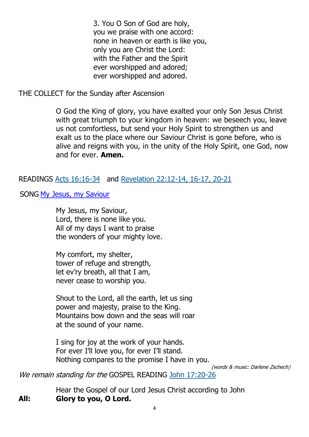3. You O Son of God are holy, you we praise with one accord: none in heaven or earth is like you, only you are Christ the Lord: with the Father and the Spirit ever worshipped and adored; ever worshipped and adored.

THE COLLECT for the Sunday after Ascension

O God the King of glory, you have exalted your only Son Jesus Christ with great triumph to your kingdom in heaven: we beseech you, leave us not comfortless, but send your Holy Spirit to strengthen us and exalt us to the place where our Saviour Christ is gone before, who is alive and reigns with you, in the unity of the Holy Spirit, one God, now and for ever. **Amen.**

#### READINGS [Acts 16:16-34](https://www.biblegateway.com/passage/?search=Acts+16%3A16-34&version=NRSVA) and [Revelation 22:12-14, 16-17,](https://www.biblegateway.com/passage/?search=Revelation+22%3A12-14%2C+16-17%2C+20-21&version=NRSVA) 20-21

SONG [My Jesus, my Saviour](https://soundcloud.com/all-saints-kings-heath/my-jesus-my-saviour?)

My Jesus, my Saviour, Lord, there is none like you. All of my days I want to praise the wonders of your mighty love.

My comfort, my shelter, tower of refuge and strength, let ev'ry breath, all that I am, never cease to worship you.

Shout to the Lord, all the earth, let us sing power and majesty, praise to the King. Mountains bow down and the seas will roar at the sound of your name.

I sing for joy at the work of your hands. For ever I'll love you, for ever I'll stand. Nothing compares to the promise I have in you.

(words & music: Darlene Zschech)

We remain standing for the GOSPEL READING [John 17:20-26](https://www.biblegateway.com/passage/?search=John+17%3A20-26&version=NRSVA)

Hear the Gospel of our Lord Jesus Christ according to John **All: Glory to you, O Lord.**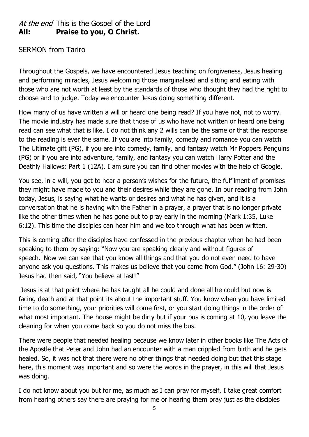#### At the end This is the Gospel of the Lord **All: Praise to you, O Christ.**

#### SERMON from Tariro

Throughout the Gospels, we have encountered Jesus teaching on forgiveness, Jesus healing and performing miracles, Jesus welcoming those marginalised and sitting and eating with those who are not worth at least by the standards of those who thought they had the right to choose and to judge. Today we encounter Jesus doing something different.

How many of us have written a will or heard one being read? If you have not, not to worry. The movie industry has made sure that those of us who have not written or heard one being read can see what that is like. I do not think any 2 wills can be the same or that the response to the reading is ever the same. If you are into family, comedy and romance you can watch The Ultimate gift (PG), if you are into comedy, family, and fantasy watch Mr Poppers Penguins (PG) or if you are into adventure, family, and fantasy you can watch Harry Potter and the Deathly Hallows: Part 1 (12A). I am sure you can find other movies with the help of Google.

You see, in a will, you get to hear a person's wishes for the future, the fulfilment of promises they might have made to you and their desires while they are gone. In our reading from John today, Jesus, is saying what he wants or desires and what he has given, and it is a conversation that he is having with the Father in a prayer, a prayer that is no longer private like the other times when he has gone out to pray early in the morning (Mark 1:35, Luke 6:12). This time the disciples can hear him and we too through what has been written.

This is coming after the disciples have confessed in the previous chapter when he had been speaking to them by saying: "Now you are speaking clearly and without figures of speech. Now we can see that you know all things and that you do not even need to have anyone ask you questions. This makes us believe that you came from God." (John 16: 29-30) Jesus had then said, "You believe at last!"

Jesus is at that point where he has taught all he could and done all he could but now is facing death and at that point its about the important stuff. You know when you have limited time to do something, your priorities will come first, or you start doing things in the order of what most important. The house might be dirty but if your bus is coming at 10, you leave the cleaning for when you come back so you do not miss the bus.

There were people that needed healing because we know later in other books like The Acts of the Apostle that Peter and John had an encounter with a man crippled from birth and he gets healed. So, it was not that there were no other things that needed doing but that this stage here, this moment was important and so were the words in the prayer, in this will that Jesus was doing.

I do not know about you but for me, as much as I can pray for myself, I take great comfort from hearing others say there are praying for me or hearing them pray just as the disciples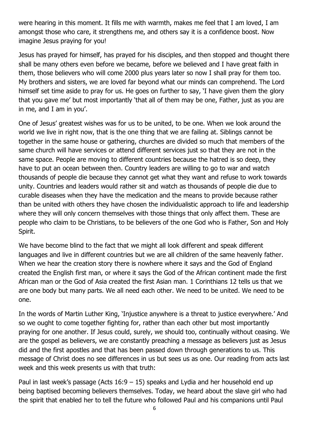were hearing in this moment. It fills me with warmth, makes me feel that I am loved, I am amongst those who care, it strengthens me, and others say it is a confidence boost. Now imagine Jesus praying for you!

Jesus has prayed for himself, has prayed for his disciples, and then stopped and thought there shall be many others even before we became, before we believed and I have great faith in them, those believers who will come 2000 plus years later so now I shall pray for them too. My brothers and sisters, we are loved far beyond what our minds can comprehend. The Lord himself set time aside to pray for us. He goes on further to say, 'I have given them the glory that you gave me' but most importantly 'that all of them may be one, Father, just as you are in me, and I am in you'.

One of Jesus' greatest wishes was for us to be united, to be one. When we look around the world we live in right now, that is the one thing that we are failing at. Siblings cannot be together in the same house or gathering, churches are divided so much that members of the same church will have services or attend different services just so that they are not in the same space. People are moving to different countries because the hatred is so deep, they have to put an ocean between then. Country leaders are willing to go to war and watch thousands of people die because they cannot get what they want and refuse to work towards unity. Countries and leaders would rather sit and watch as thousands of people die due to curable diseases when they have the medication and the means to provide because rather than be united with others they have chosen the individualistic approach to life and leadership where they will only concern themselves with those things that only affect them. These are people who claim to be Christians, to be believers of the one God who is Father, Son and Holy Spirit.

We have become blind to the fact that we might all look different and speak different languages and live in different countries but we are all children of the same heavenly father. When we hear the creation story there is nowhere where it says and the God of England created the English first man, or where it says the God of the African continent made the first African man or the God of Asia created the first Asian man. 1 Corinthians 12 tells us that we are one body but many parts. We all need each other. We need to be united. We need to be one.

In the words of Martin Luther King, 'Injustice anywhere is a threat to justice everywhere.' And so we ought to come together fighting for, rather than each other but most importantly praying for one another. If Jesus could, surely, we should too, continually without ceasing. We are the gospel as believers, we are constantly preaching a message as believers just as Jesus did and the first apostles and that has been passed down through generations to us. This message of Christ does no see differences in us but sees us as one. Our reading from acts last week and this week presents us with that truth:

Paul in last week's passage (Acts  $16:9 - 15$ ) speaks and Lydia and her household end up being baptised becoming believers themselves. Today, we heard about the slave girl who had the spirit that enabled her to tell the future who followed Paul and his companions until Paul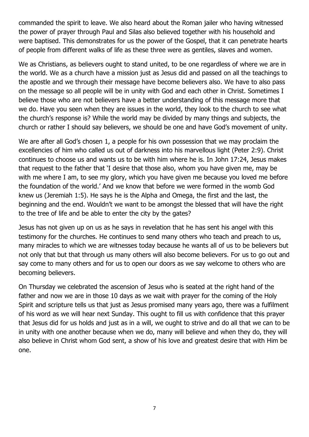commanded the spirit to leave. We also heard about the Roman jailer who having witnessed the power of prayer through Paul and Silas also believed together with his household and were baptised. This demonstrates for us the power of the Gospel, that it can penetrate hearts of people from different walks of life as these three were as gentiles, slaves and women.

We as Christians, as believers ought to stand united, to be one regardless of where we are in the world. We as a church have a mission just as Jesus did and passed on all the teachings to the apostle and we through their message have become believers also. We have to also pass on the message so all people will be in unity with God and each other in Christ. Sometimes I believe those who are not believers have a better understanding of this message more that we do. Have you seen when they are issues in the world, they look to the church to see what the church's response is? While the world may be divided by many things and subjects, the church or rather I should say believers, we should be one and have God's movement of unity.

We are after all God's chosen 1, a people for his own possession that we may proclaim the excellencies of him who called us out of darkness into his marvellous light (Peter 2:9). Christ continues to choose us and wants us to be with him where he is. In John 17:24, Jesus makes that request to the father that 'I desire that those also, whom you have given me, may be with me where I am, to see my glory, which you have given me because you loved me before the foundation of the world.' And we know that before we were formed in the womb God knew us (Jeremiah 1:5). He says he is the Alpha and Omega, the first and the last, the beginning and the end. Wouldn't we want to be amongst the blessed that will have the right to the tree of life and be able to enter the city by the gates?

Jesus has not given up on us as he says in revelation that he has sent his angel with this testimony for the churches. He continues to send many others who teach and preach to us, many miracles to which we are witnesses today because he wants all of us to be believers but not only that but that through us many others will also become believers. For us to go out and say come to many others and for us to open our doors as we say welcome to others who are becoming believers.

On Thursday we celebrated the ascension of Jesus who is seated at the right hand of the father and now we are in those 10 days as we wait with prayer for the coming of the Holy Spirit and scripture tells us that just as Jesus promised many years ago, there was a fulfilment of his word as we will hear next Sunday. This ought to fill us with confidence that this prayer that Jesus did for us holds and just as in a will, we ought to strive and do all that we can to be in unity with one another because when we do, many will believe and when they do, they will also believe in Christ whom God sent, a show of his love and greatest desire that with Him be one.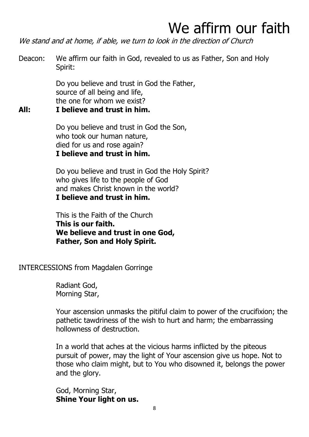# We affirm our faith

We stand and at home, if able, we turn to look in the direction of Church

Deacon: We affirm our faith in God, revealed to us as Father, Son and Holy Spirit:

> Do you believe and trust in God the Father, source of all being and life, the one for whom we exist?

#### **All: I believe and trust in him.**

Do you believe and trust in God the Son, who took our human nature, died for us and rose again? **I believe and trust in him.**

Do you believe and trust in God the Holy Spirit? who gives life to the people of God and makes Christ known in the world? **I believe and trust in him.**

This is the Faith of the Church **This is our faith. We believe and trust in one God, Father, Son and Holy Spirit.** 

INTERCESSIONS from Magdalen Gorringe

Radiant God, Morning Star,

Your ascension unmasks the pitiful claim to power of the crucifixion; the pathetic tawdriness of the wish to hurt and harm; the embarrassing hollowness of destruction.

In a world that aches at the vicious harms inflicted by the piteous pursuit of power, may the light of Your ascension give us hope. Not to those who claim might, but to You who disowned it, belongs the power and the glory.

God, Morning Star, **Shine Your light on us.**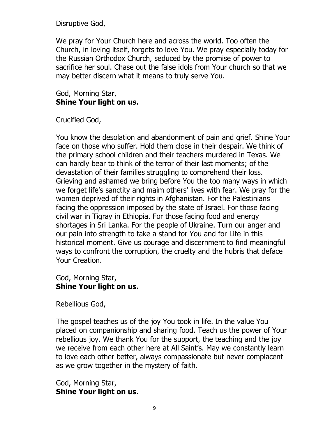Disruptive God,

We pray for Your Church here and across the world. Too often the Church, in loving itself, forgets to love You. We pray especially today for the Russian Orthodox Church, seduced by the promise of power to sacrifice her soul. Chase out the false idols from Your church so that we may better discern what it means to truly serve You.

#### God, Morning Star, **Shine Your light on us.**

Crucified God,

You know the desolation and abandonment of pain and grief. Shine Your face on those who suffer. Hold them close in their despair. We think of the primary school children and their teachers murdered in Texas. We can hardly bear to think of the terror of their last moments; of the devastation of their families struggling to comprehend their loss. Grieving and ashamed we bring before You the too many ways in which we forget life's sanctity and maim others' lives with fear. We pray for the women deprived of their rights in Afghanistan. For the Palestinians facing the oppression imposed by the state of Israel. For those facing civil war in Tigray in Ethiopia. For those facing food and energy shortages in Sri Lanka. For the people of Ukraine. Turn our anger and our pain into strength to take a stand for You and for Life in this historical moment. Give us courage and discernment to find meaningful ways to confront the corruption, the cruelty and the hubris that deface Your Creation.

God, Morning Star, **Shine Your light on us.**

Rebellious God,

The gospel teaches us of the joy You took in life. In the value You placed on companionship and sharing food. Teach us the power of Your rebellious joy. We thank You for the support, the teaching and the joy we receive from each other here at All Saint's. May we constantly learn to love each other better, always compassionate but never complacent as we grow together in the mystery of faith.

God, Morning Star, **Shine Your light on us.**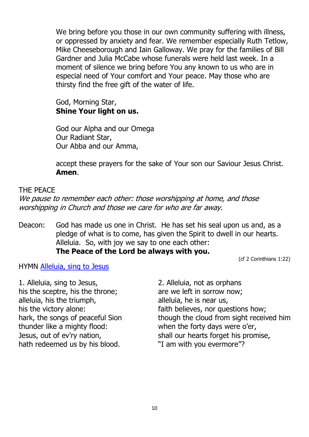We bring before you those in our own community suffering with illness, or oppressed by anxiety and fear. We remember especially Ruth Tetlow, Mike Cheeseborough and Iain Galloway. We pray for the families of Bill Gardner and Julia McCabe whose funerals were held last week. In a moment of silence we bring before You any known to us who are in especial need of Your comfort and Your peace. May those who are thirsty find the free gift of the water of life.

#### God, Morning Star, **Shine Your light on us.**

God our Alpha and our Omega Our Radiant Star, Our Abba and our Amma,

accept these prayers for the sake of Your son our Saviour Jesus Christ. **Amen**.

#### THE PEACE

We pause to remember each other: those worshipping at home, and those worshipping in Church and those we care for who are far away.

Deacon: God has made us one in Christ. He has set his seal upon us and, as a pledge of what is to come, has given the Spirit to dwell in our hearts. Alleluia. So, with joy we say to one each other: **The Peace of the Lord be always with you.**

(cf 2 Corinthians 1:22)

HYMN [Alleluia, sing to Jesus](https://soundcloud.com/all-saints-kings-heath/alleluia-sing-to-jesus?)

1. Alleluia, sing to Jesus, his the sceptre, his the throne; alleluia, his the triumph, his the victory alone: hark, the songs of peaceful Sion thunder like a mighty flood: Jesus, out of ev'ry nation, hath redeemed us by his blood.

2. Alleluia, not as orphans are we left in sorrow now; alleluia, he is near us, faith believes, nor questions how; though the cloud from sight received him when the forty days were o'er, shall our hearts forget his promise, "I am with you evermore"?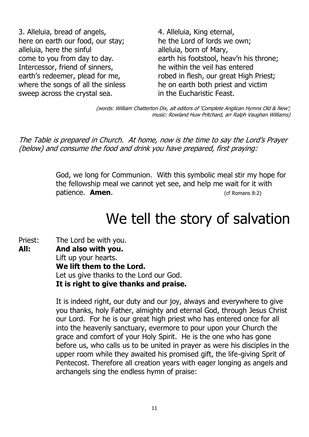3. Alleluia, bread of angels, here on earth our food, our stay; alleluia, here the sinful come to you from day to day. Intercessor, friend of sinners, earth's redeemer, plead for me, where the songs of all the sinless sweep across the crystal sea.

4. Alleluia, King eternal, he the Lord of lords we own; alleluia, born of Mary, earth his footstool, heav'n his throne; he within the veil has entered robed in flesh, our great High Priest; he on earth both priest and victim in the Eucharistic Feast.

(words: William Chatterton Dix, alt editors of 'Complete Anglican Hymns Old & New'; music: Rowland Huw Pritchard, arr Ralph Vaughan Williams)

The Table is prepared in Church. At home, now is the time to say the Lord's Prayer (below) and consume the food and drink you have prepared, first praying:

> God, we long for Communion. With this symbolic meal stir my hope for the fellowship meal we cannot yet see, and help me wait for it with patience. **Amen**. (cf Romans 8:2)

## We tell the story of salvation

Priest: The Lord be with you. **All: And also with you.** Lift up your hearts. **We lift them to the Lord.** Let us give thanks to the Lord our God. **It is right to give thanks and praise.**

> It is indeed right, our duty and our joy, always and everywhere to give you thanks, holy Father, almighty and eternal God, through Jesus Christ our Lord. For he is our great high priest who has entered once for all into the heavenly sanctuary, evermore to pour upon your Church the grace and comfort of your Holy Spirit. He is the one who has gone before us, who calls us to be united in prayer as were his disciples in the upper room while they awaited his promised gift, the life-giving Sprit of Pentecost. Therefore all creation years with eager longing as angels and archangels sing the endless hymn of praise: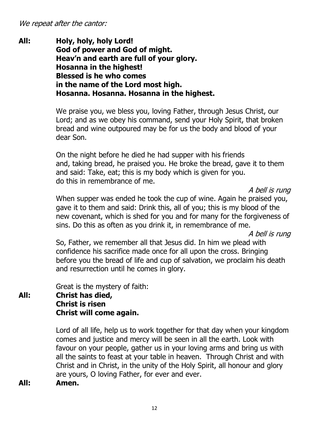We repeat after the cantor:

**All: Holy, holy, holy Lord! God of power and God of might. Heav'n and earth are full of your glory. Hosanna in the highest! Blessed is he who comes in the name of the Lord most high. Hosanna. Hosanna. Hosanna in the highest.**

> We praise you, we bless you, loving Father, through Jesus Christ, our Lord; and as we obey his command, send your Holy Spirit, that broken bread and wine outpoured may be for us the body and blood of your dear Son.

> On the night before he died he had supper with his friends and, taking bread, he praised you. He broke the bread, gave it to them and said: Take, eat; this is my body which is given for you. do this in remembrance of me.

> > A bell is rung

When supper was ended he took the cup of wine. Again he praised you, gave it to them and said: Drink this, all of you; this is my blood of the new covenant, which is shed for you and for many for the forgiveness of sins. Do this as often as you drink it, in remembrance of me.

A bell is rung

So, Father, we remember all that Jesus did. In him we plead with confidence his sacrifice made once for all upon the cross. Bringing before you the bread of life and cup of salvation, we proclaim his death and resurrection until he comes in glory.

Great is the mystery of faith:

#### **All: Christ has died, Christ is risen Christ will come again.**

Lord of all life, help us to work together for that day when your kingdom comes and justice and mercy will be seen in all the earth. Look with favour on your people, gather us in your loving arms and bring us with all the saints to feast at your table in heaven. Through Christ and with Christ and in Christ, in the unity of the Holy Spirit, all honour and glory are yours, O loving Father, for ever and ever.

**All: Amen.**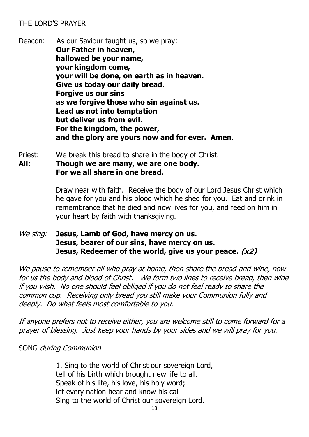#### THE LORD'S PRAYER

Deacon: As our Saviour taught us, so we pray: **Our Father in heaven, hallowed be your name, your kingdom come, your will be done, on earth as in heaven. Give us today our daily bread. Forgive us our sins as we forgive those who sin against us. Lead us not into temptation but deliver us from evil. For the kingdom, the power, and the glory are yours now and for ever. Amen.**

Priest: We break this bread to share in the body of Christ. **All: Though we are many, we are one body. For we all share in one bread.**

> Draw near with faith. Receive the body of our Lord Jesus Christ which he gave for you and his blood which he shed for you. Eat and drink in remembrance that he died and now lives for you, and feed on him in your heart by faith with thanksgiving.

#### We sing: **Jesus, Lamb of God, have mercy on us. Jesus, bearer of our sins, have mercy on us. Jesus, Redeemer of the world, give us your peace. (x2)**

We pause to remember all who pray at home, then share the bread and wine, now for us the body and blood of Christ. We form two lines to receive bread, then wine if you wish. No one should feel obliged if you do not feel ready to share the common cup. Receiving only bread you still make your Communion fully and deeply. Do what feels most comfortable to you.

If anyone prefers not to receive either, you are welcome still to come forward for a prayer of blessing. Just keep your hands by your sides and we will pray for you.

SONG during Communion

1. Sing to the world of Christ our sovereign Lord, tell of his birth which brought new life to all. Speak of his life, his love, his holy word; let every nation hear and know his call. Sing to the world of Christ our sovereign Lord.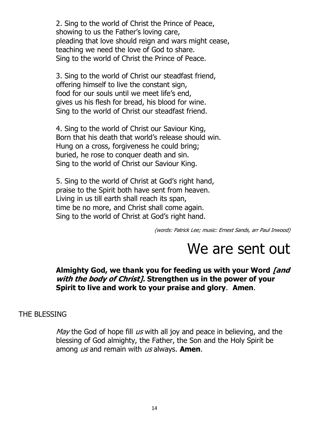2. Sing to the world of Christ the Prince of Peace, showing to us the Father's loving care, pleading that love should reign and wars might cease, teaching we need the love of God to share. Sing to the world of Christ the Prince of Peace.

3. Sing to the world of Christ our steadfast friend, offering himself to live the constant sign, food for our souls until we meet life's end, gives us his flesh for bread, his blood for wine. Sing to the world of Christ our steadfast friend.

4. Sing to the world of Christ our Saviour King, Born that his death that world's release should win. Hung on a cross, forgiveness he could bring; buried, he rose to conquer death and sin. Sing to the world of Christ our Saviour King.

5. Sing to the world of Christ at God's right hand, praise to the Spirit both have sent from heaven. Living in us till earth shall reach its span, time be no more, and Christ shall come again. Sing to the world of Christ at God's right hand.

(words: Patrick Lee; music: Ernest Sands, arr Paul Inwood)

### We are sent out

#### **Almighty God, we thank you for feeding us with your Word [and with the body of Christ]. Strengthen us in the power of your Spirit to live and work to your praise and glory**. **Amen**.

#### THE BLESSING

May the God of hope fill  $\mu s$  with all joy and peace in believing, and the blessing of God almighty, the Father, the Son and the Holy Spirit be among us and remain with us always. **Amen**.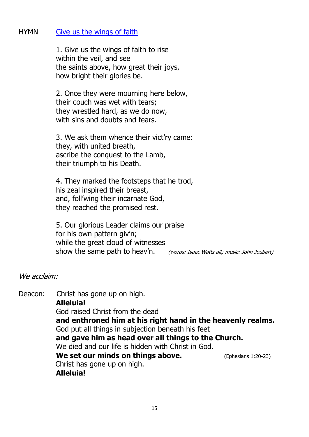#### HYMN [Give us the wings of faith](https://soundcloud.com/all-saints-kings-heath/give-us-the-wings?)

1. Give us the wings of faith to rise within the veil, and see the saints above, how great their joys, how bright their glories be.

2. Once they were mourning here below, their couch was wet with tears; they wrestled hard, as we do now, with sins and doubts and fears.

3. We ask them whence their vict'ry came: they, with united breath, ascribe the conquest to the Lamb, their triumph to his Death.

4. They marked the footsteps that he trod, his zeal inspired their breast, and, foll'wing their incarnate God, they reached the promised rest.

5. Our glorious Leader claims our praise for his own pattern giv'n; while the great cloud of witnesses show the same path to heav'n. (words: Isaac Watts alt; music: John Joubert)

#### We acclaim:

Deacon: Christ has gone up on high. **Alleluia!** God raised Christ from the dead **and enthroned him at his right hand in the heavenly realms.** God put all things in subjection beneath his feet **and gave him as head over all things to the Church.** We died and our life is hidden with Christ in God. **We set our minds on things above.** (Ephesians 1:20-23) Christ has gone up on high. **Alleluia!**